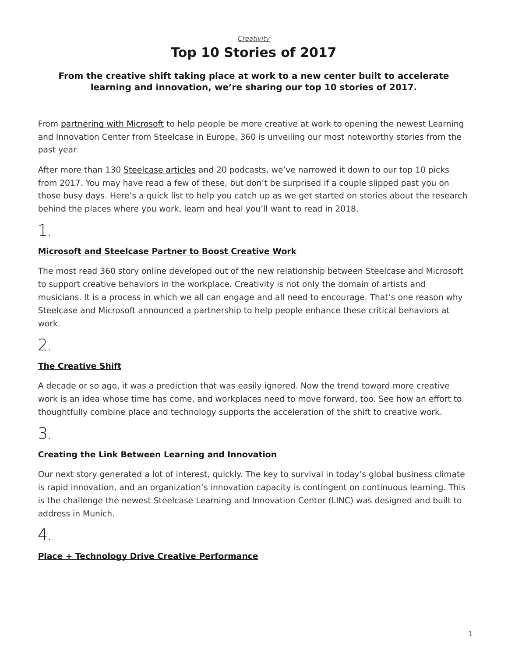### *[Creativity](https://www.steelcase.com/research/topics/creativity/)* **Top 10 Stories of 2017**

#### <span id="page-0-0"></span>**From the creative shift taking place at work to a new center built to accelerate learning and innovation, we're sharing our top 10 stories of 2017.**

From [partnering with Microsoft](https://www.steelcase.com/microsoft-steelcase/) to help people be more creative at work to opening the newest Learning and Innovation Center from Steelcase in Europe, 360 is unveiling our most noteworthy stories from the past year.

After more than 130 [Steelcase articles](https://www.steelcase.com/research/articles/) and 20 podcasts, we've narrowed it down to our top 10 picks from 2017. You may have read a few of these, but don't be surprised if a couple slipped past you on those busy days. Here's a quick list to help you catch up as we get started on stories about the research behind the places where you work, learn and heal you'll want to read in 2018.

1.

### **[Microsoft and Steelcase Partner to Boost Creative Work](https://www.steelcase.com/research/articles/topics/collaboration-privacy/microsoft-steelcase-partner-boost-creative-work/)**

The most read 360 story online developed out of the new relationship between Steelcase and Microsoft to support creative behaviors in the workplace. Creativity is not only the domain of artists and musicians. It is a process in which we all can engage and all need to encourage. That's one reason why Steelcase and Microsoft announced a partnership to help people enhance these critical behaviors at work.

2.

### **[The Creative Shift](https://www.steelcase.com/research/articles/topics/creativity/creative-shift/)**

A decade or so ago, it was a prediction that was easily ignored. Now the trend toward more creative work is an idea whose time has come, and workplaces need to move forward, too. See how an effort to thoughtfully combine place and technology supports the acceleration of the shift to creative work.

3.

### **[Creating the Link Between Learning and Innovation](https://www.steelcase.com/research/articles/creating-link-learning-innovation-design/)**

Our next story generated a lot of interest, quickly. The key to survival in today's global business climate is rapid innovation, and an organization's innovation capacity is contingent on continuous learning. This is the challenge the newest Steelcase Learning and Innovation Center (LINC) was designed and built to address in Munich.

4.

### **[Place + Technology Drive Creative Performance](https://www.steelcase.com/research/articles/topics/technology/place-technology-drive-creative-performance/)**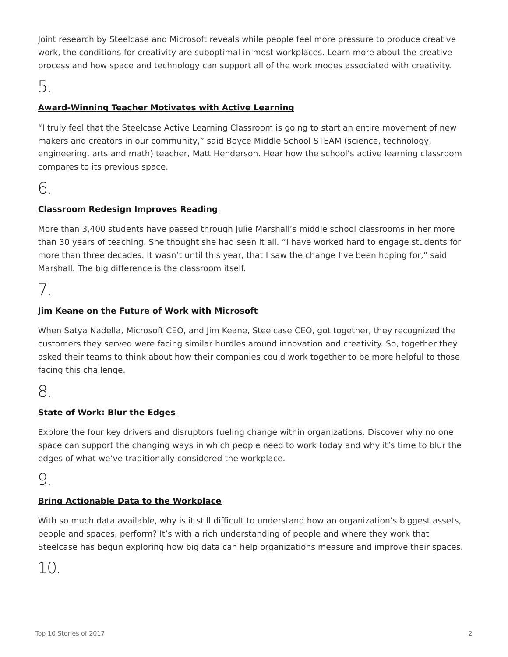Joint research by Steelcase and Microsoft reveals while people feel more pressure to produce creative work, the conditions for creativity are suboptimal in most workplaces. Learn more about the creative process and how space and technology can support all of the work modes associated with creativity.

# 5.

### **[Award-Winning Teacher Motivates with Active Learning](https://www.steelcase.com/research/articles/topics/video/award-winning-teacher-motivates-students-with-active-learning/)**

"I truly feel that the Steelcase Active Learning Classroom is going to start an entire movement of new makers and creators in our community," said Boyce Middle School STEAM (science, technology, engineering, arts and math) teacher, Matt Henderson. Hear how the school's active learning classroom compares to its previous space.

# 6.

#### **[Classroom Redesign Improves Reading](https://www.steelcase.com/research/articles/topics/active-learning/reading-targets-double-classroom-redesign/)**

More than 3,400 students have passed through Julie Marshall's middle school classrooms in her more than 30 years of teaching. She thought she had seen it all. "I have worked hard to engage students for more than three decades. It wasn't until this year, that I saw the change I've been hoping for," said Marshall. The big difference is the classroom itself.

# 7.

#### **[Jim Keane on the Future of Work with Microsoft](https://www.steelcase.com/research/articles/jim-keane-future-work-microsoft/)**

When Satya Nadella, Microsoft CEO, and Jim Keane, Steelcase CEO, got together, they recognized the customers they served were facing similar hurdles around innovation and creativity. So, together they asked their teams to think about how their companies could work together to be more helpful to those facing this challenge.

# 8.

#### **[State of Work: Blur the Edges](https://www.steelcase.com/research/articles/topics/workplace/state-work-blur-edges/)**

Explore the four key drivers and disruptors fueling change within organizations. Discover why no one space can support the changing ways in which people need to work today and why it's time to blur the edges of what we've traditionally considered the workplace.

# 9.

#### **[Bring Actionable Data to the Workplace](https://www.steelcase.com/research/articles/topics/workplace/big-data-better-places/)**

With so much data available, why is it still difficult to understand how an organization's biggest assets, people and spaces, perform? It's with a rich understanding of people and where they work that Steelcase has begun exploring how big data can help organizations measure and improve their spaces.

# 10.